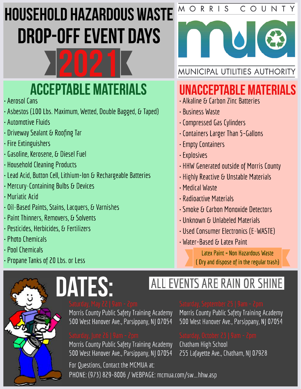# **HOUSEHOLD HAZARDOUS WASTE DROP-OFF EVENT DAYS**



## **ACCEPTABLE MATERIALS**

- · Aerosol Cans
- · Asbestos (100 Lbs. Maximum, Wetted, Double Bagged, & Taped)
- Automotive Fluids
- Driveway Sealant & Roofing Tar
- $\cdot$  Fire Extinguishers
- · Gasoline, Kerosene, & Diesel Fuel
- · Household Cleaning Products
- · Lead Acid, Button Cell, Lithium-Ion & Rechargeable Batteries
- Mercury-Containing Bulbs & Devices
- Muriatic Acid
- · Oil-Based Paints, Stains, Lacquers, & Varnishes
- · Paint Thinners, Removers, & Solvents
- · Pesticides, Herbicides, & Fertilizers
- $\cdot$  Photo Chemicals
- $\cdot$  Pool Chemicals
- Propane Tanks of 20 Lbs. or Less

## **UNACCEPTABLE MATERIALS**

- Alkaline & Carbon Zinc Batteries
- · Business Waste
- · Compressed Gas Cylinders
- Containers Larger Than 5-Gallons
- Empty Containers
- · Explosives
- HHW Generated outside of Morris County
- Highly Reactive & Unstable Materials
- Medical Waste
- Radinactive Materials
- Smoke & Carbon Monoxide Detectors
- Unknown & Unlabeled Materials
- · Used Consumer Electronics (E-WASTE)
- Water-Based & Latex Paint

Latex Paint = Non Hazardous Waste (Dry and dispose of in the regular trash)

## ALL EVENTS ARE RAIN OR SHINE

DATES:

Morris County Public Safety Training Academy 500 West Hanover Ave., Parsippany, NJ 07054

Morris County Public Safety Training Academy 500 West Hanover Ave., Parsippany, NJ 07054 Morris County Public Safety Training Academy

500 West Hanover Ave., Parsippany, NJ 07054

Chatham High School 255 Lafayette Ave., Chatham, NJ 07928

For Questions, Contact the MCMUA at: PHONE: (973) 829-8006 / WEBPAGE: mcmua.com/sw\_hhw.asp